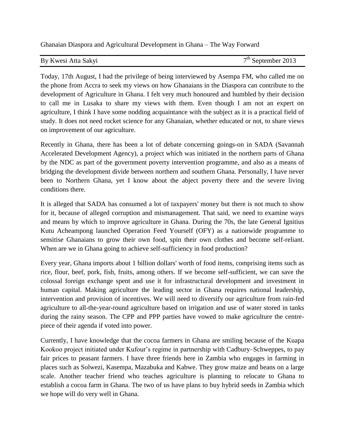Ghanaian Diaspora and Agricultural Development in Ghana – The Way Forward

| By Kwesi Atta Sakyi | $7th$ September 2013 |
|---------------------|----------------------|
|---------------------|----------------------|

Today, 17th August, I had the privilege of being interviewed by Asempa FM, who called me on the phone from Accra to seek my views on how Ghanaians in the Diaspora can contribute to the development of Agriculture in Ghana. I felt very much honoured and humbled by their decision to call me in Lusaka to share my views with them. Even though I am not an expert on agriculture, I think I have some nodding acquaintance with the subject as it is a practical field of study. It does not need rocket science for any Ghanaian, whether educated or not, to share views on improvement of our agriculture.

Recently in Ghana, there has been a lot of debate concerning goings-on in SADA (Savannah Accelerated Development Agency), a project which was initiated in the northern parts of Ghana by the NDC as part of the government poverty intervention programme, and also as a means of bridging the development divide between northern and southern Ghana. Personally, I have never been to Northern Ghana, yet I know about the abject poverty there and the severe living conditions there.

It is alleged that SADA has consumed a lot of taxpayers' money but there is not much to show for it, because of alleged corruption and mismanagement. That said, we need to examine ways and means by which to improve agriculture in Ghana. During the 70s, the late General Ignitius Kutu Acheampong launched Operation Feed Yourself (OFY) as a nationwide programme to sensitise Ghanaians to grow their own food, spin their own clothes and become self-reliant. When are we in Ghana going to achieve self-sufficiency in food production?

Every year, Ghana imports about 1 billion dollars' worth of food items, comprising items such as rice, flour, beef, pork, fish, fruits, among others. If we become self-sufficient, we can save the colossal foreign exchange spent and use it for infrastructural development and investment in human capital. Making agriculture the leading sector in Ghana requires national leadership, intervention and provision of incentives. We will need to diversify our agriculture from rain-fed agriculture to all-the-year-round agriculture based on irrigation and use of water stored in tanks during the rainy season. The CPP and PPP parties have vowed to make agriculture the centrepiece of their agenda if voted into power.

Currently, I have knowledge that the cocoa farmers in Ghana are smiling because of the Kuapa Kookoo project initiated under Kufour's regime in partnership with Cadbury–Schweppes, to pay fair prices to peasant farmers. I have three friends here in Zambia who engages in farming in places such as Solwezi, Kasempa, Mazabuka and Kabwe. They grow maize and beans on a large scale. Another teacher friend who teaches agriculture is planning to relocate to Ghana to establish a cocoa farm in Ghana. The two of us have plans to buy hybrid seeds in Zambia which we hope will do very well in Ghana.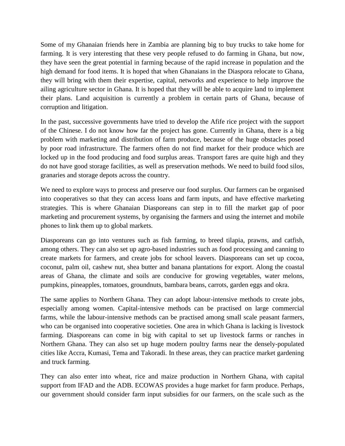Some of my Ghanaian friends here in Zambia are planning big to buy trucks to take home for farming. It is very interesting that these very people refused to do farming in Ghana, but now, they have seen the great potential in farming because of the rapid increase in population and the high demand for food items. It is hoped that when Ghanaians in the Diaspora relocate to Ghana, they will bring with them their expertise, capital, networks and experience to help improve the ailing agriculture sector in Ghana. It is hoped that they will be able to acquire land to implement their plans. Land acquisition is currently a problem in certain parts of Ghana, because of corruption and litigation.

In the past, successive governments have tried to develop the Afife rice project with the support of the Chinese. I do not know how far the project has gone. Currently in Ghana, there is a big problem with marketing and distribution of farm produce, because of the huge obstacles posed by poor road infrastructure. The farmers often do not find market for their produce which are locked up in the food producing and food surplus areas. Transport fares are quite high and they do not have good storage facilities, as well as preservation methods. We need to build food silos, granaries and storage depots across the country.

We need to explore ways to process and preserve our food surplus. Our farmers can be organised into cooperatives so that they can access loans and farm inputs, and have effective marketing strategies. This is where Ghanaian Diasporeans can step in to fill the market gap of poor marketing and procurement systems, by organising the farmers and using the internet and mobile phones to link them up to global markets.

Diasporeans can go into ventures such as fish farming, to breed tilapia, prawns, and catfish, among others. They can also set up agro-based industries such as food processing and canning to create markets for farmers, and create jobs for school leavers. Diasporeans can set up cocoa, coconut, palm oil, cashew nut, shea butter and banana plantations for export. Along the coastal areas of Ghana, the climate and soils are conducive for growing vegetables, water melons, pumpkins, pineapples, tomatoes, groundnuts, bambara beans, carrots, garden eggs and okra.

The same applies to Northern Ghana. They can adopt labour-intensive methods to create jobs, especially among women. Capital-intensive methods can be practised on large commercial farms, while the labour-intensive methods can be practised among small scale peasant farmers, who can be organised into cooperative societies. One area in which Ghana is lacking is livestock farming. Diasporeans can come in big with capital to set up livestock farms or ranches in Northern Ghana. They can also set up huge modern poultry farms near the densely-populated cities like Accra, Kumasi, Tema and Takoradi. In these areas, they can practice market gardening and truck farming.

They can also enter into wheat, rice and maize production in Northern Ghana, with capital support from IFAD and the ADB. ECOWAS provides a huge market for farm produce. Perhaps, our government should consider farm input subsidies for our farmers, on the scale such as the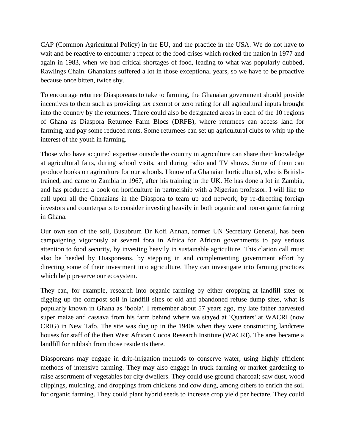CAP (Common Agricultural Policy) in the EU, and the practice in the USA. We do not have to wait and be reactive to encounter a repeat of the food crises which rocked the nation in 1977 and again in 1983, when we had critical shortages of food, leading to what was popularly dubbed, Rawlings Chain. Ghanaians suffered a lot in those exceptional years, so we have to be proactive because once bitten, twice shy.

To encourage returnee Diasporeans to take to farming, the Ghanaian government should provide incentives to them such as providing tax exempt or zero rating for all agricultural inputs brought into the country by the returnees. There could also be designated areas in each of the 10 regions of Ghana as Diaspora Returnee Farm Blocs (DRFB), where returnees can access land for farming, and pay some reduced rents. Some returnees can set up agricultural clubs to whip up the interest of the youth in farming.

Those who have acquired expertise outside the country in agriculture can share their knowledge at agricultural fairs, during school visits, and during radio and TV shows. Some of them can produce books on agriculture for our schools. I know of a Ghanaian horticulturist, who is Britishtrained, and came to Zambia in 1967, after his training in the UK. He has done a lot in Zambia, and has produced a book on horticulture in partnership with a Nigerian professor. I will like to call upon all the Ghanaians in the Diaspora to team up and network, by re-directing foreign investors and counterparts to consider investing heavily in both organic and non-organic farming in Ghana.

Our own son of the soil, Busubrum Dr Kofi Annan, former UN Secretary General, has been campaigning vigorously at several fora in Africa for African governments to pay serious attention to food security, by investing heavily in sustainable agriculture. This clarion call must also be heeded by Diasporeans, by stepping in and complementing government effort by directing some of their investment into agriculture. They can investigate into farming practices which help preserve our ecosystem.

They can, for example, research into organic farming by either cropping at landfill sites or digging up the compost soil in landfill sites or old and abandoned refuse dump sites, what is popularly known in Ghana as 'boola'. I remember about 57 years ago, my late father harvested super maize and cassava from his farm behind where we stayed at 'Quarters' at WACRI (now CRIG) in New Tafo. The site was dug up in the 1940s when they were constructing landcrete houses for staff of the then West African Cocoa Research Institute (WACRI). The area became a landfill for rubbish from those residents there.

Diasporeans may engage in drip-irrigation methods to conserve water, using highly efficient methods of intensive farming. They may also engage in truck farming or market gardening to raise assortment of vegetables for city dwellers. They could use ground charcoal; saw dust, wood clippings, mulching, and droppings from chickens and cow dung, among others to enrich the soil for organic farming. They could plant hybrid seeds to increase crop yield per hectare. They could